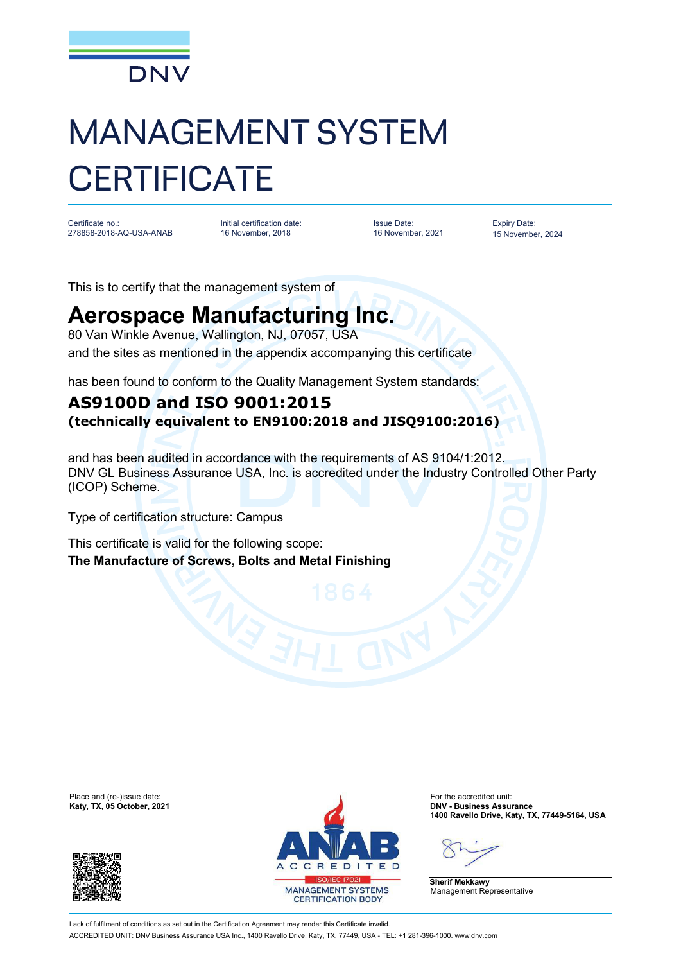

## MANAGEMENT SYSTEM **CERTIFICATE**

Certificate no.: 278858-2018-AQ-USA-ANAB Initial certification date: 16 November, 2018

Issue Date: 16 November, 2021 Expiry Date: 15 November, 2024

This is to certify that the management system of

## **Aerospace Manufacturing Inc.**

80 Van Winkle Avenue, Wallington, NJ, 07057, USA and the sites as mentioned in the appendix accompanying this certificate

has been found to conform to the Quality Management System standards:

## **AS9100D and ISO 9001:2015 (technically equivalent to EN9100:2018 and JISQ9100:2016)**

and has been audited in accordance with the requirements of AS 9104/1:2012. DNV GL Business Assurance USA, Inc. is accredited under the Industry Controlled Other Party (ICOP) Scheme.

Type of certification structure: Campus

This certificate is valid for the following scope: **The Manufacture of Screws, Bolts and Metal Finishing**





**Katy, TX, 05 October, 2021 DNV - Business Assurance 1400 Ravello Drive, Katy, TX, 77449-5164, USA**

**Sherif Mekkawy** Management Representative